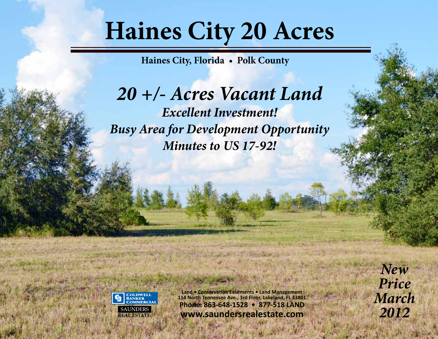## **Haines City 20 Acres**

**Haines City, Florida • Polk County**

*20 +/- Acres Vacant Land Excellent Investment! Busy Area for Development Opportunity Minutes to US 17-92!*



**Land • Conservation Easements • Land Management 114 North Tennessee Ave., 3rd Floor, Lakeland, FL 33801 Phone: 863-648-1528 • 877-518 LAND REAL ESTATE www.saundersrealestate.com**

*New Price March 2012*